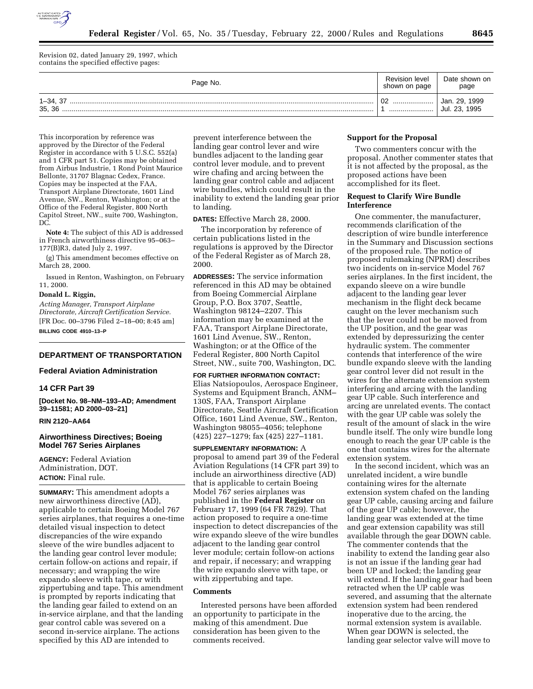

Revision 02, dated January 29, 1997, which contains the specified effective pages:

| Page No.             | <b>Revision level</b><br>shown on page | Date shown on<br>page                |
|----------------------|----------------------------------------|--------------------------------------|
| $1 - 34.37$<br>35.36 | 02<br>                                 | 29, 1999<br>Jan.<br>Jul. 23.<br>1995 |

This incorporation by reference was approved by the Director of the Federal Register in accordance with 5 U.S.C. 552(a) and 1 CFR part 51. Copies may be obtained from Airbus Industrie, 1 Rond Point Maurice Bellonte, 31707 Blagnac Cedex, France. Copies may be inspected at the FAA, Transport Airplane Directorate, 1601 Lind Avenue, SW., Renton, Washington; or at the Office of the Federal Register, 800 North Capitol Street, NW., suite 700, Washington, DC.

**Note 4:** The subject of this AD is addressed in French airworthiness directive 95–063– 177(B)R3, dated July 2, 1997.

(g) This amendment becomes effective on March 28, 2000.

Issued in Renton, Washington, on February 11, 2000.

# **Donald L. Riggin,**

*Acting Manager, Transport Airplane Directorate, Aircraft Certification Service.* [FR Doc. 00–3796 Filed 2–18–00; 8:45 am] **BILLING CODE 4910–13–P**

#### **DEPARTMENT OF TRANSPORTATION**

#### **Federal Aviation Administration**

# **14 CFR Part 39**

**[Docket No. 98–NM–193–AD; Amendment 39–11581; AD 2000–03–21]**

## **RIN 2120–AA64**

## **Airworthiness Directives; Boeing Model 767 Series Airplanes**

**AGENCY:** Federal Aviation Administration, DOT. **ACTION:** Final rule.

**SUMMARY:** This amendment adopts a new airworthiness directive (AD), applicable to certain Boeing Model 767 series airplanes, that requires a one-time detailed visual inspection to detect discrepancies of the wire expando sleeve of the wire bundles adjacent to the landing gear control lever module; certain follow-on actions and repair, if necessary; and wrapping the wire expando sleeve with tape, or with zippertubing and tape. This amendment is prompted by reports indicating that the landing gear failed to extend on an in-service airplane, and that the landing gear control cable was severed on a second in-service airplane. The actions specified by this AD are intended to

prevent interference between the landing gear control lever and wire bundles adjacent to the landing gear control lever module, and to prevent wire chafing and arcing between the landing gear control cable and adjacent wire bundles, which could result in the inability to extend the landing gear prior to landing.

**DATES:** Effective March 28, 2000.

The incorporation by reference of certain publications listed in the regulations is approved by the Director of the Federal Register as of March 28, 2000.

**ADDRESSES:** The service information referenced in this AD may be obtained from Boeing Commercial Airplane Group, P.O. Box 3707, Seattle, Washington 98124–2207. This information may be examined at the FAA, Transport Airplane Directorate, 1601 Lind Avenue, SW., Renton, Washington; or at the Office of the Federal Register, 800 North Capitol Street, NW., suite 700, Washington, DC.

**FOR FURTHER INFORMATION CONTACT:** Elias Natsiopoulos, Aerospace Engineer, Systems and Equipment Branch, ANM– 130S, FAA, Transport Airplane Directorate, Seattle Aircraft Certification Office, 1601 Lind Avenue, SW., Renton, Washington 98055–4056; telephone (425) 227–1279; fax (425) 227–1181.

**SUPPLEMENTARY INFORMATION:** A proposal to amend part 39 of the Federal Aviation Regulations (14 CFR part 39) to include an airworthiness directive (AD) that is applicable to certain Boeing Model 767 series airplanes was published in the **Federal Register** on February 17, 1999 (64 FR 7829). That action proposed to require a one-time inspection to detect discrepancies of the wire expando sleeve of the wire bundles adjacent to the landing gear control lever module; certain follow-on actions and repair, if necessary; and wrapping the wire expando sleeve with tape, or with zippertubing and tape.

## **Comments**

Interested persons have been afforded an opportunity to participate in the making of this amendment. Due consideration has been given to the comments received.

# **Support for the Proposal**

Two commenters concur with the proposal. Another commenter states that it is not affected by the proposal, as the proposed actions have been accomplished for its fleet.

## **Request to Clarify Wire Bundle Interference**

One commenter, the manufacturer, recommends clarification of the description of wire bundle interference in the Summary and Discussion sections of the proposed rule. The notice of proposed rulemaking (NPRM) describes two incidents on in-service Model 767 series airplanes. In the first incident, the expando sleeve on a wire bundle adjacent to the landing gear lever mechanism in the flight deck became caught on the lever mechanism such that the lever could not be moved from the UP position, and the gear was extended by depressurizing the center hydraulic system. The commenter contends that interference of the wire bundle expando sleeve with the landing gear control lever did not result in the wires for the alternate extension system interfering and arcing with the landing gear UP cable. Such interference and arcing are unrelated events. The contact with the gear UP cable was solely the result of the amount of slack in the wire bundle itself. The only wire bundle long enough to reach the gear UP cable is the one that contains wires for the alternate extension system.

In the second incident, which was an unrelated incident, a wire bundle containing wires for the alternate extension system chafed on the landing gear UP cable, causing arcing and failure of the gear UP cable; however, the landing gear was extended at the time and gear extension capability was still available through the gear DOWN cable. The commenter contends that the inability to extend the landing gear also is not an issue if the landing gear had been UP and locked; the landing gear will extend. If the landing gear had been retracted when the UP cable was severed, and assuming that the alternate extension system had been rendered inoperative due to the arcing, the normal extension system is available. When gear DOWN is selected, the landing gear selector valve will move to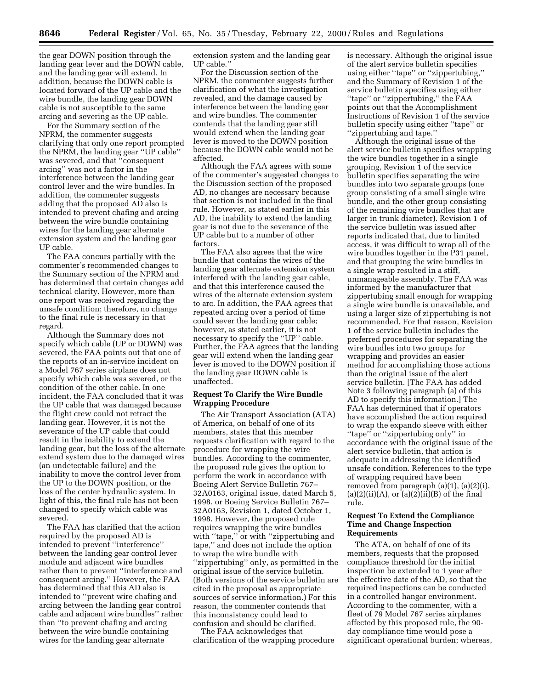the gear DOWN position through the landing gear lever and the DOWN cable, and the landing gear will extend. In addition, because the DOWN cable is located forward of the UP cable and the wire bundle, the landing gear DOWN cable is not susceptible to the same arcing and severing as the UP cable.

For the Summary section of the NPRM, the commenter suggests clarifying that only one report prompted the NPRM, the landing gear ''UP cable'' was severed, and that ''consequent arcing'' was not a factor in the interference between the landing gear control lever and the wire bundles. In addition, the commenter suggests adding that the proposed AD also is intended to prevent chafing and arcing between the wire bundle containing wires for the landing gear alternate extension system and the landing gear UP cable.

The FAA concurs partially with the commenter's recommended changes to the Summary section of the NPRM and has determined that certain changes add technical clarity. However, more than one report was received regarding the unsafe condition; therefore, no change to the final rule is necessary in that regard.

Although the Summary does not specify which cable (UP or DOWN) was severed, the FAA points out that one of the reports of an in-service incident on a Model 767 series airplane does not specify which cable was severed, or the condition of the other cable. In one incident, the FAA concluded that it was the UP cable that was damaged because the flight crew could not retract the landing gear. However, it is not the severance of the UP cable that could result in the inability to extend the landing gear, but the loss of the alternate extend system due to the damaged wires (an undetectable failure) and the inability to move the control lever from the UP to the DOWN position, or the loss of the center hydraulic system. In light of this, the final rule has not been changed to specify which cable was severed.

The FAA has clarified that the action required by the proposed AD is intended to prevent ''interference'' between the landing gear control lever module and adjacent wire bundles rather than to prevent ''interference and consequent arcing.'' However, the FAA has determined that this AD also is intended to ''prevent wire chafing and arcing between the landing gear control cable and adjacent wire bundles'' rather than ''to prevent chafing and arcing between the wire bundle containing wires for the landing gear alternate

extension system and the landing gear UP cable.''

For the Discussion section of the NPRM, the commenter suggests further clarification of what the investigation revealed, and the damage caused by interference between the landing gear and wire bundles. The commenter contends that the landing gear still would extend when the landing gear lever is moved to the DOWN position because the DOWN cable would not be affected.

Although the FAA agrees with some of the commenter's suggested changes to the Discussion section of the proposed AD, no changes are necessary because that section is not included in the final rule. However, as stated earlier in this AD, the inability to extend the landing gear is not due to the severance of the UP cable but to a number of other factors.

The FAA also agrees that the wire bundle that contains the wires of the landing gear alternate extension system interfered with the landing gear cable, and that this interference caused the wires of the alternate extension system to arc. In addition, the FAA agrees that repeated arcing over a period of time could sever the landing gear cable; however, as stated earlier, it is not necessary to specify the ''UP'' cable. Further, the FAA agrees that the landing gear will extend when the landing gear lever is moved to the DOWN position if the landing gear DOWN cable is unaffected.

## **Request To Clarify the Wire Bundle Wrapping Procedure**

The Air Transport Association (ATA) of America, on behalf of one of its members, states that this member requests clarification with regard to the procedure for wrapping the wire bundles. According to the commenter, the proposed rule gives the option to perform the work in accordance with Boeing Alert Service Bulletin 767– 32A0163, original issue, dated March 5, 1998, or Boeing Service Bulletin 767– 32A0163, Revision 1, dated October 1, 1998. However, the proposed rule requires wrapping the wire bundles with "tape," or with "zippertubing and tape,'' and does not include the option to wrap the wire bundle with ''zippertubing'' only, as permitted in the original issue of the service bulletin. (Both versions of the service bulletin are cited in the proposal as appropriate sources of service information.) For this reason, the commenter contends that this inconsistency could lead to confusion and should be clarified.

The FAA acknowledges that clarification of the wrapping procedure is necessary. Although the original issue of the alert service bulletin specifies using either ''tape'' or ''zippertubing,'' and the Summary of Revision 1 of the service bulletin specifies using either ''tape'' or ''zippertubing,'' the FAA points out that the Accomplishment Instructions of Revision 1 of the service bulletin specify using either ''tape'' or ''zippertubing and tape.''

Although the original issue of the alert service bulletin specifies wrapping the wire bundles together in a single grouping, Revision 1 of the service bulletin specifies separating the wire bundles into two separate groups (one group consisting of a small single wire bundle, and the other group consisting of the remaining wire bundles that are larger in trunk diameter). Revision 1 of the service bulletin was issued after reports indicated that, due to limited access, it was difficult to wrap all of the wire bundles together in the P31 panel, and that grouping the wire bundles in a single wrap resulted in a stiff, unmanageable assembly. The FAA was informed by the manufacturer that zippertubing small enough for wrapping a single wire bundle is unavailable, and using a larger size of zippertubing is not recommended. For that reason, Revision 1 of the service bulletin includes the preferred procedures for separating the wire bundles into two groups for wrapping and provides an easier method for accomplishing those actions than the original issue of the alert service bulletin. [The FAA has added Note 3 following paragraph (a) of this AD to specify this information.] The FAA has determined that if operators have accomplished the action required to wrap the expando sleeve with either ''tape'' or ''zippertubing only'' in accordance with the original issue of the alert service bulletin, that action is adequate in addressing the identified unsafe condition. References to the type of wrapping required have been removed from paragraph (a)(1), (a)(2)(i),  $(a)(2)(ii)(A)$ , or  $(a)(2)(ii)(B)$  of the final rule.

## **Request To Extend the Compliance Time and Change Inspection Requirements**

The ATA, on behalf of one of its members, requests that the proposed compliance threshold for the initial inspection be extended to 1 year after the effective date of the AD, so that the required inspections can be conducted in a controlled hangar environment. According to the commenter, with a fleet of 79 Model 767 series airplanes affected by this proposed rule, the 90 day compliance time would pose a significant operational burden; whereas,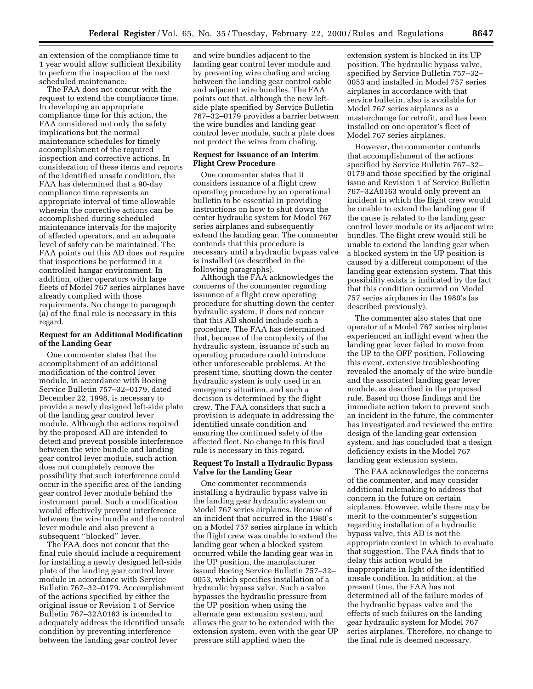an extension of the compliance time to 1 year would allow sufficient flexibility to perform the inspection at the next scheduled maintenance.

The FAA does not concur with the request to extend the compliance time. In developing an appropriate compliance time for this action, the FAA considered not only the safety implications but the normal maintenance schedules for timely accomplishment of the required inspection and corrective actions. In consideration of these items and reports of the identified unsafe condition, the FAA has determined that a 90-day compliance time represents an appropriate interval of time allowable wherein the corrective actions can be accomplished during scheduled maintenance intervals for the majority of affected operators, and an adequate level of safety can be maintained. The FAA points out this AD does not require that inspections be performed in a controlled hangar environment. In addition, other operators with large fleets of Model 767 series airplanes have already complied with those requirements. No change to paragraph (a) of the final rule is necessary in this regard.

# **Request for an Additional Modification of the Landing Gear**

One commenter states that the accomplishment of an additional modification of the control lever module, in accordance with Boeing Service Bulletin 757–32–0179, dated December 22, 1998, is necessary to provide a newly designed left-side plate of the landing gear control lever module. Although the actions required by the proposed AD are intended to detect and prevent possible interference between the wire bundle and landing gear control lever module, such action does not completely remove the possibility that such interference could occur in the specific area of the landing gear control lever module behind the instrument panel. Such a modification would effectively prevent interference between the wire bundle and the control lever module and also prevent a subsequent ''blocked'' lever.

The FAA does not concur that the final rule should include a requirement for installing a newly designed left-side plate of the landing gear control lever module in accordance with Service Bulletin 767–32–0179. Accomplishment of the actions specified by either the original issue or Revision 1 of Service Bulletin 767–32A0163 is intended to adequately address the identified unsafe condition by preventing interference between the landing gear control lever

and wire bundles adjacent to the landing gear control lever module and by preventing wire chafing and arcing between the landing gear control cable and adjacent wire bundles. The FAA points out that, although the new leftside plate specified by Service Bulletin 767–32–0179 provides a barrier between the wire bundles and landing gear control lever module, such a plate does not protect the wires from chafing.

#### **Request for Issuance of an Interim Flight Crew Procedure**

One commenter states that it considers issuance of a flight crew operating procedure by an operational bulletin to be essential in providing instructions on how to shut down the center hydraulic system for Model 767 series airplanes and subsequently extend the landing gear. The commenter contends that this procedure is necessary until a hydraulic bypass valve is installed (as described in the following paragraphs).

Although the FAA acknowledges the concerns of the commenter regarding issuance of a flight crew operating procedure for shutting down the center hydraulic system, it does not concur that this AD should include such a procedure. The FAA has determined that, because of the complexity of the hydraulic system, issuance of such an operating procedure could introduce other unforeseeable problems. At the present time, shutting down the center hydraulic system is only used in an emergency situation, and such a decision is determined by the flight crew. The FAA considers that such a provision is adequate in addressing the identified unsafe condition and ensuring the continued safety of the affected fleet. No change to this final rule is necessary in this regard.

# **Request To Install a Hydraulic Bypass Valve for the Landing Gear**

One commenter recommends installing a hydraulic bypass valve in the landing gear hydraulic system on Model 767 series airplanes. Because of an incident that occurred in the 1980's on a Model 757 series airplane in which the flight crew was unable to extend the landing gear when a blocked system occurred while the landing gear was in the UP position, the manufacturer issued Boeing Service Bulletin 757–32– 0053, which specifies installation of a hydraulic bypass valve. Such a valve bypasses the hydraulic pressure from the UP position when using the alternate gear extension system, and allows the gear to be extended with the extension system, even with the gear UP pressure still applied when the

extension system is blocked in its UP position. The hydraulic bypass valve, specified by Service Bulletin 757–32– 0053 and installed in Model 757 series airplanes in accordance with that service bulletin, also is available for Model 767 series airplanes as a masterchange for retrofit, and has been installed on one operator's fleet of Model 767 series airplanes.

However, the commenter contends that accomplishment of the actions specified by Service Bulletin 767–32– 0179 and those specified by the original issue and Revision 1 of Service Bulletin 767–32A0163 would only prevent an incident in which the flight crew would be unable to extend the landing gear if the cause is related to the landing gear control lever module or its adjacent wire bundles. The flight crew would still be unable to extend the landing gear when a blocked system in the UP position is caused by a different component of the landing gear extension system. That this possibility exists is indicated by the fact that this condition occurred on Model 757 series airplanes in the 1980's (as described previously).

The commenter also states that one operator of a Model 767 series airplane experienced an inflight event when the landing gear lever failed to move from the UP to the OFF position. Following this event, extensive troubleshooting revealed the anomaly of the wire bundle and the associated landing gear lever module, as described in the proposed rule. Based on those findings and the immediate action taken to prevent such an incident in the future, the commenter has investigated and reviewed the entire design of the landing gear extension system, and has concluded that a design deficiency exists in the Model 767 landing gear extension system.

The FAA acknowledges the concerns of the commenter, and may consider additional rulemaking to address that concern in the future on certain airplanes. However, while there may be merit to the commenter's suggestion regarding installation of a hydraulic bypass valve, this AD is not the appropriate context in which to evaluate that suggestion. The FAA finds that to delay this action would be inappropriate in light of the identified unsafe condition. In addition, at the present time, the FAA has not determined all of the failure modes of the hydraulic bypass valve and the effects of such failures on the landing gear hydraulic system for Model 767 series airplanes. Therefore, no change to the final rule is deemed necessary.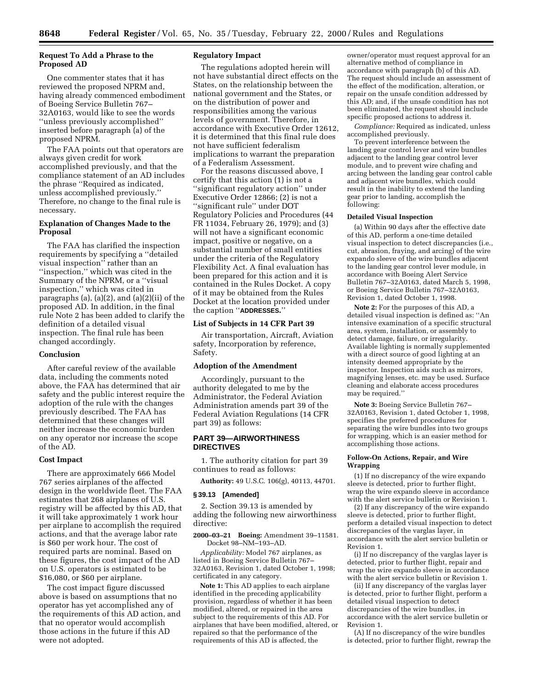# **Request To Add a Phrase to the Proposed AD**

One commenter states that it has reviewed the proposed NPRM and, having already commenced embodiment of Boeing Service Bulletin 767– 32A0163, would like to see the words ''unless previously accomplished'' inserted before paragraph (a) of the proposed NPRM.

The FAA points out that operators are always given credit for work accomplished previously, and that the compliance statement of an AD includes the phrase ''Required as indicated, unless accomplished previously.'' Therefore, no change to the final rule is necessary.

# **Explanation of Changes Made to the Proposal**

The FAA has clarified the inspection requirements by specifying a ''detailed visual inspection'' rather than an ''inspection,'' which was cited in the Summary of the NPRM, or a ''visual inspection,'' which was cited in paragraphs (a), (a)(2), and (a)(2)(ii) of the proposed AD. In addition, in the final rule Note 2 has been added to clarify the definition of a detailed visual inspection. The final rule has been changed accordingly.

# **Conclusion**

After careful review of the available data, including the comments noted above, the FAA has determined that air safety and the public interest require the adoption of the rule with the changes previously described. The FAA has determined that these changes will neither increase the economic burden on any operator nor increase the scope of the AD.

## **Cost Impact**

There are approximately 666 Model 767 series airplanes of the affected design in the worldwide fleet. The FAA estimates that 268 airplanes of U.S. registry will be affected by this AD, that it will take approximately 1 work hour per airplane to accomplish the required actions, and that the average labor rate is \$60 per work hour. The cost of required parts are nominal. Based on these figures, the cost impact of the AD on U.S. operators is estimated to be \$16,080, or \$60 per airplane.

The cost impact figure discussed above is based on assumptions that no operator has yet accomplished any of the requirements of this AD action, and that no operator would accomplish those actions in the future if this AD were not adopted.

## **Regulatory Impact**

The regulations adopted herein will not have substantial direct effects on the States, on the relationship between the national government and the States, or on the distribution of power and responsibilities among the various levels of government. Therefore, in accordance with Executive Order 12612, it is determined that this final rule does not have sufficient federalism implications to warrant the preparation of a Federalism Assessment.

For the reasons discussed above, I certify that this action (1) is not a ''significant regulatory action'' under Executive Order 12866; (2) is not a ''significant rule'' under DOT Regulatory Policies and Procedures (44 FR 11034, February 26, 1979); and (3) will not have a significant economic impact, positive or negative, on a substantial number of small entities under the criteria of the Regulatory Flexibility Act. A final evaluation has been prepared for this action and it is contained in the Rules Docket. A copy of it may be obtained from the Rules Docket at the location provided under the caption ''**ADDRESSES.**''

#### **List of Subjects in 14 CFR Part 39**

Air transportation, Aircraft, Aviation safety, Incorporation by reference, Safety.

### **Adoption of the Amendment**

Accordingly, pursuant to the authority delegated to me by the Administrator, the Federal Aviation Administration amends part 39 of the Federal Aviation Regulations (14 CFR part 39) as follows:

### **PART 39—AIRWORTHINESS DIRECTIVES**

1. The authority citation for part 39 continues to read as follows:

**Authority:** 49 U.S.C. 106(g), 40113, 44701.

#### **§ 39.13 [Amended]**

2. Section 39.13 is amended by adding the following new airworthiness directive:

#### **2000–03–21 Boeing:** Amendment 39–11581. Docket 98–NM–193–AD.

*Applicability:* Model 767 airplanes, as listed in Boeing Service Bulletin 767– 32A0163, Revision 1, dated October 1, 1998; certificated in any category.

**Note 1:** This AD applies to each airplane identified in the preceding applicability provision, regardless of whether it has been modified, altered, or repaired in the area subject to the requirements of this AD. For airplanes that have been modified, altered, or repaired so that the performance of the requirements of this AD is affected, the

owner/operator must request approval for an alternative method of compliance in accordance with paragraph (b) of this AD. The request should include an assessment of the effect of the modification, alteration, or repair on the unsafe condition addressed by this AD; and, if the unsafe condition has not been eliminated, the request should include specific proposed actions to address it.

*Compliance:* Required as indicated, unless accomplished previously.

To prevent interference between the landing gear control lever and wire bundles adjacent to the landing gear control lever module, and to prevent wire chafing and arcing between the landing gear control cable and adjacent wire bundles, which could result in the inability to extend the landing gear prior to landing, accomplish the following:

# **Detailed Visual Inspection**

(a) Within 90 days after the effective date of this AD, perform a one-time detailed visual inspection to detect discrepancies (i.e., cut, abrasion, fraying, and arcing) of the wire expando sleeve of the wire bundles adjacent to the landing gear control lever module, in accordance with Boeing Alert Service Bulletin 767–32A0163, dated March 5, 1998, or Boeing Service Bulletin 767–32A0163, Revision 1, dated October 1, 1998.

**Note 2:** For the purposes of this AD, a detailed visual inspection is defined as: ''An intensive examination of a specific structural area, system, installation, or assembly to detect damage, failure, or irregularity. Available lighting is normally supplemented with a direct source of good lighting at an intensity deemed appropriate by the inspector. Inspection aids such as mirrors, magnifying lenses, etc. may be used. Surface cleaning and elaborate access procedures may be required.''

**Note 3:** Boeing Service Bulletin 767– 32A0163, Revision 1, dated October 1, 1998, specifies the preferred procedures for separating the wire bundles into two groups for wrapping, which is an easier method for accomplishing those actions.

## **Follow-On Actions, Repair, and Wire Wrapping**

(1) If no discrepancy of the wire expando sleeve is detected, prior to further flight, wrap the wire expando sleeve in accordance with the alert service bulletin or Revision 1.

(2) If any discrepancy of the wire expando sleeve is detected, prior to further flight, perform a detailed visual inspection to detect discrepancies of the varglas layer, in accordance with the alert service bulletin or Revision 1.

(i) If no discrepancy of the varglas layer is detected, prior to further flight, repair and wrap the wire expando sleeve in accordance with the alert service bulletin or Revision 1.

(ii) If any discrepancy of the varglas layer is detected, prior to further flight, perform a detailed visual inspection to detect discrepancies of the wire bundles, in accordance with the alert service bulletin or Revision 1.

(A) If no discrepancy of the wire bundles is detected, prior to further flight, rewrap the